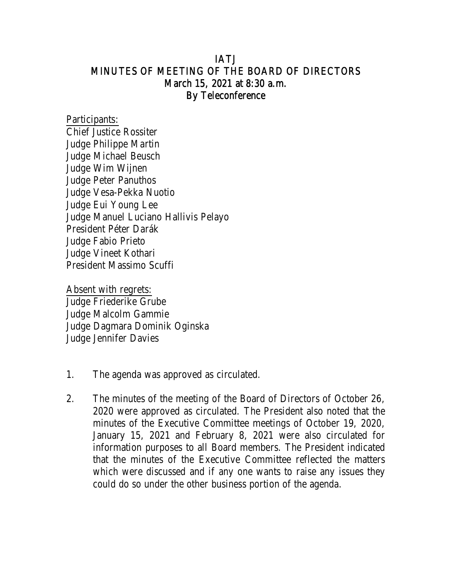## IATJ MINUTES OF MEETING OF THE BOARD OF DIRECTORS March 15, 2021 at 8:30 a.m. By Teleconference

Participants: Chief Justice Rossiter Judge Philippe Martin Judge Michael Beusch Judge Wim Wijnen Judge Peter Panuthos Judge Vesa-Pekka Nuotio Judge Eui Young Lee Judge Manuel Luciano Hallivis Pelayo President Péter Darák Judge Fabio Prieto Judge Vineet Kothari President Massimo Scuffi

Absent with regrets: Judge Friederike Grube Judge Malcolm Gammie Judge Dagmara Dominik Oginska Judge Jennifer Davies

- 1. The agenda was approved as circulated.
- 2. The minutes of the meeting of the Board of Directors of October 26, 2020 were approved as circulated. The President also noted that the minutes of the Executive Committee meetings of October 19, 2020, January 15, 2021 and February 8, 2021 were also circulated for information purposes to all Board members. The President indicated that the minutes of the Executive Committee reflected the matters which were discussed and if any one wants to raise any issues they could do so under the other business portion of the agenda.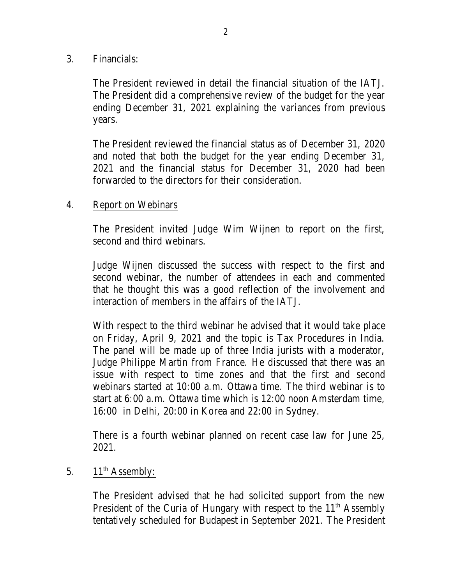### 3. Financials:

The President reviewed in detail the financial situation of the IATJ. The President did a comprehensive review of the budget for the year ending December 31, 2021 explaining the variances from previous years.

The President reviewed the financial status as of December 31, 2020 and noted that both the budget for the year ending December 31, 2021 and the financial status for December 31, 2020 had been forwarded to the directors for their consideration.

### 4. Report on Webinars

The President invited Judge Wim Wijnen to report on the first, second and third webinars.

Judge Wijnen discussed the success with respect to the first and second webinar, the number of attendees in each and commented that he thought this was a good reflection of the involvement and interaction of members in the affairs of the IATJ.

With respect to the third webinar he advised that it would take place on Friday, April 9, 2021 and the topic is Tax Procedures in India. The panel will be made up of three India jurists with a moderator, Judge Philippe Martin from France. He discussed that there was an issue with respect to time zones and that the first and second webinars started at 10:00 a.m. Ottawa time. The third webinar is to start at 6:00 a.m. Ottawa time which is 12:00 noon Amsterdam time, 16:00 in Delhi, 20:00 in Korea and 22:00 in Sydney.

There is a fourth webinar planned on recent case law for June 25, 2021.

### 5. 11<sup>th</sup> Assembly:

The President advised that he had solicited support from the new President of the Curia of Hungary with respect to the  $11<sup>th</sup>$  Assembly tentatively scheduled for Budapest in September 2021. The President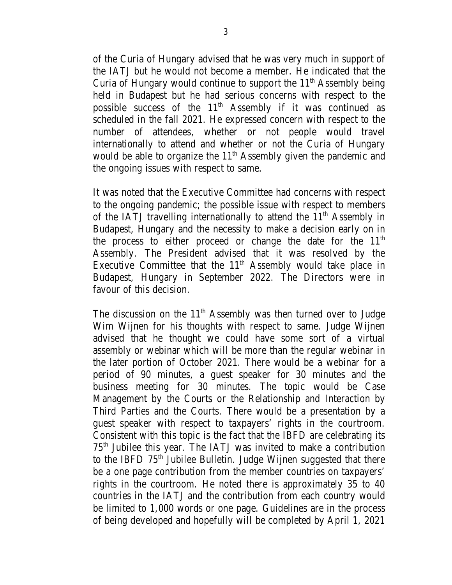of the Curia of Hungary advised that he was very much in support of the IATJ but he would not become a member. He indicated that the Curia of Hungary would continue to support the 11<sup>th</sup> Assembly being held in Budapest but he had serious concerns with respect to the possible success of the 11<sup>th</sup> Assembly if it was continued as scheduled in the fall 2021. He expressed concern with respect to the number of attendees, whether or not people would travel internationally to attend and whether or not the Curia of Hungary would be able to organize the 11<sup>th</sup> Assembly given the pandemic and the ongoing issues with respect to same.

It was noted that the Executive Committee had concerns with respect to the ongoing pandemic; the possible issue with respect to members of the IATJ travelling internationally to attend the  $11<sup>th</sup>$  Assembly in Budapest, Hungary and the necessity to make a decision early on in the process to either proceed or change the date for the  $11<sup>th</sup>$ Assembly. The President advised that it was resolved by the Executive Committee that the  $11<sup>th</sup>$  Assembly would take place in Budapest, Hungary in September 2022. The Directors were in favour of this decision.

The discussion on the  $11<sup>th</sup>$  Assembly was then turned over to Judge Wim Wijnen for his thoughts with respect to same. Judge Wijnen advised that he thought we could have some sort of a virtual assembly or webinar which will be more than the regular webinar in the later portion of October 2021. There would be a webinar for a period of 90 minutes, a guest speaker for 30 minutes and the business meeting for 30 minutes. The topic would be Case Management by the Courts or the Relationship and Interaction by Third Parties and the Courts. There would be a presentation by a guest speaker with respect to taxpayers' rights in the courtroom. Consistent with this topic is the fact that the IBFD are celebrating its  $75<sup>th</sup>$  Jubilee this year. The IATJ was invited to make a contribution to the IBFD 75<sup>th</sup> Jubilee Bulletin. Judge Wijnen suggested that there be a one page contribution from the member countries on taxpayers' rights in the courtroom. He noted there is approximately 35 to 40 countries in the IATJ and the contribution from each country would be limited to 1,000 words or one page. Guidelines are in the process of being developed and hopefully will be completed by April 1, 2021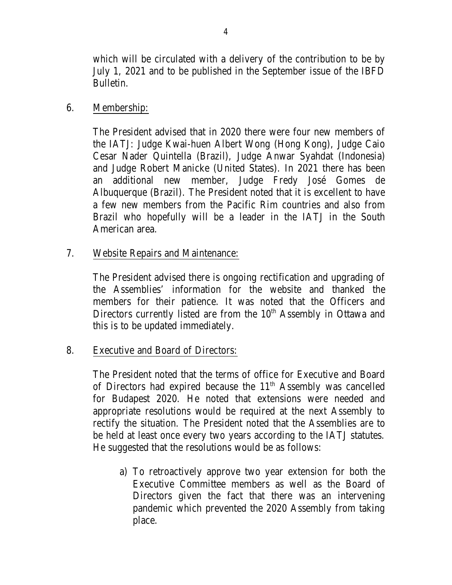which will be circulated with a delivery of the contribution to be by July 1, 2021 and to be published in the September issue of the IBFD Bulletin.

## 6. Membership:

The President advised that in 2020 there were four new members of the IATJ: Judge Kwai-huen Albert Wong (Hong Kong), Judge Caio Cesar Nader Quintella (Brazil), Judge Anwar Syahdat (Indonesia) and Judge Robert Manicke (United States). In 2021 there has been an additional new member, Judge Fredy José Gomes de Albuquerque (Brazil). The President noted that it is excellent to have a few new members from the Pacific Rim countries and also from Brazil who hopefully will be a leader in the IATJ in the South American area.

# 7. Website Repairs and Maintenance:

The President advised there is ongoing rectification and upgrading of the Assemblies' information for the website and thanked the members for their patience. It was noted that the Officers and Directors currently listed are from the 10<sup>th</sup> Assembly in Ottawa and this is to be updated immediately.

# 8. Executive and Board of Directors:

The President noted that the terms of office for Executive and Board of Directors had expired because the 11<sup>th</sup> Assembly was cancelled for Budapest 2020. He noted that extensions were needed and appropriate resolutions would be required at the next Assembly to rectify the situation. The President noted that the Assemblies are to be held at least once every two years according to the IATJ statutes. He suggested that the resolutions would be as follows:

a) To retroactively approve two year extension for both the Executive Committee members as well as the Board of Directors given the fact that there was an intervening pandemic which prevented the 2020 Assembly from taking place.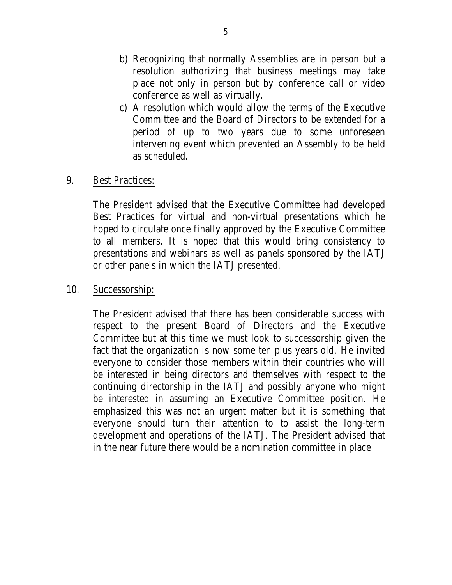- b) Recognizing that normally Assemblies are in person but a resolution authorizing that business meetings may take place not only in person but by conference call or video conference as well as virtually.
- c) A resolution which would allow the terms of the Executive Committee and the Board of Directors to be extended for a period of up to two years due to some unforeseen intervening event which prevented an Assembly to be held as scheduled.

### 9. Best Practices:

The President advised that the Executive Committee had developed Best Practices for virtual and non-virtual presentations which he hoped to circulate once finally approved by the Executive Committee to all members. It is hoped that this would bring consistency to presentations and webinars as well as panels sponsored by the IATJ or other panels in which the IATJ presented.

### 10. Successorship:

The President advised that there has been considerable success with respect to the present Board of Directors and the Executive Committee but at this time we must look to successorship given the fact that the organization is now some ten plus years old. He invited everyone to consider those members within their countries who will be interested in being directors and themselves with respect to the continuing directorship in the IATJ and possibly anyone who might be interested in assuming an Executive Committee position. He emphasized this was not an urgent matter but it is something that everyone should turn their attention to to assist the long-term development and operations of the IATJ. The President advised that in the near future there would be a nomination committee in place